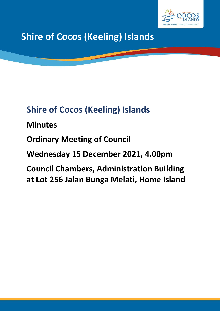

# **Shire of Cocos (Keeling) Islands**

# **Shire of Cocos (Keeling) Islands**

# **Minutes**

# **Ordinary Meeting of Council**

# **Wednesday 15 December 2021, 4.00pm**

# **Council Chambers, Administration Building at Lot 256 Jalan Bunga Melati, Home Island**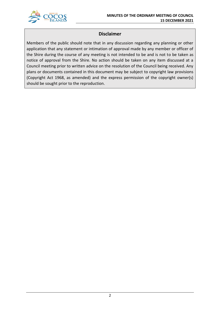

# **Disclaimer**

Members of the public should note that in any discussion regarding any planning or other application that any statement or intimation of approval made by any member or officer of the Shire during the course of any meeting is not intended to be and is not to be taken as notice of approval from the Shire. No action should be taken on any item discussed at a Council meeting prior to written advice on the resolution of the Council being received. Any plans or documents contained in this document may be subject to copyright law provisions (Copyright Act 1968, as amended) and the express permission of the copyright owner(s) should be sought prior to the reproduction.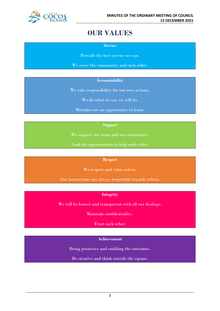

# **OUR VALUES**

**Service**

Provide the best service we can.

We serve the community and each other.

## **Accountability**

We take responsibility for our own actions.

We do what we say we will do.

Mistakes are an opportunity to learn.

## **Support**

We support our team and our community.

Look for opportunities to help each other.

#### **Respect**

We respect and value others.

Our interactions are always respectful towards others.

# **Integrity**

We will be honest and transparent with all our dealings.

Maintain confidentiality.

Trust each other.

# **Achievement**

Being proactive and enabling the outcomes.

Be creative and think outside the square.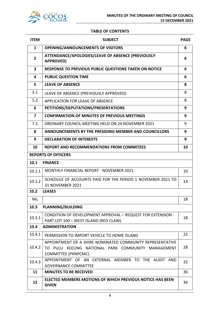

# **TABLE OF CONTENTS**

| <b>ITEM</b>             | <b>SUBJECT</b>                                                                                                                                | <b>PAGE</b> |
|-------------------------|-----------------------------------------------------------------------------------------------------------------------------------------------|-------------|
| $\mathbf{1}$            | <b>OPENING/ANNOUNCEMENTS OF VISITORS</b>                                                                                                      | 6           |
| $\overline{2}$          | ATTENDANCE/APOLOGIES/LEAVE OF ABSENCE (PREVIOUSLY<br><b>APPROVED)</b>                                                                         | 6           |
| $\overline{\mathbf{3}}$ | <b>RESPONSE TO PREVIOUS PUBLIC QUESTIONS TAKEN ON NOTICE</b>                                                                                  | 6           |
| 4                       | <b>PUBLIC QUESTION TIME</b>                                                                                                                   | 6           |
| 5                       | <b>LEAVE OF ABSENCE</b>                                                                                                                       | 8           |
| 5.1                     | LEAVE OF ABSENCE (PREVIOUSLY APPROVED)                                                                                                        | 8           |
| 5.2                     | APPLICATION FOR LEAVE OF ABSENCE                                                                                                              | 8           |
| 6                       | PETITIONS/DEPUTATIONS/PRESENTATIONS                                                                                                           | 9           |
| $\overline{7}$          | <b>CONFIRMATION OF MINUTES OF PREVIOUS MEETINGS</b>                                                                                           | 9           |
| 7.1                     | ORDINARY COUNCIL MEETING HELD ON 24 NOVEMBER 2021                                                                                             | 9           |
| 8                       | <b>ANNOUNCEMENTS BY THE PRESIDING MEMBER AND COUNCILLORS</b>                                                                                  | 9           |
| 9                       | <b>DECLARATION OF INTERESTS</b>                                                                                                               | 9           |
| 10                      | <b>REPORT AND RECOMMENDATIONS FROM COMMITEES</b>                                                                                              | 10          |
|                         | <b>REPORTS OF OFFICERS</b>                                                                                                                    |             |
| 10.1                    | <b>FINANCE</b>                                                                                                                                |             |
| 10.1.1                  | <b>MONTHLY FINANCIAL REPORT - NOVEMBER 2021</b>                                                                                               | 10          |
| 10.1.2                  | SCHEDULE OF ACCOUNTS PAID FOR THE PERIOD 1 NOVEMBER 2021 TO<br><b>31 NOVEMBER 2021</b>                                                        | 14          |
| 10.2                    | <b>LEASES</b>                                                                                                                                 |             |
| <b>NIL</b>              |                                                                                                                                               | 18          |
| 10.3                    | <b>PLANNING/BUILDING</b>                                                                                                                      |             |
| 10.3.1                  | CONDITION OF DEVELOPMENT APPROVAL - REQUEST FOR EXTENSION -<br>PART LOT 100 - WEST ISLAND (RED CLAW)                                          | 18          |
| 10.4                    | <b>ADMINISTRATION</b>                                                                                                                         |             |
| 10.4.1                  | PERMISSION TO IMPORT VEHICLE TO HOME ISLAND                                                                                                   | 25          |
| 10.4.2                  | APPOINTMENT OF A SHIRE NOMINATED COMMUNITY REPRESENTATIVE<br>TO PULU KEELING NATIONAL PARK COMMUNITY MANAGEMENT<br><b>COMMITTEE (PKNPCMC)</b> | 28          |
| 10.4.3                  | APPOINTMENT OF AN EXTERNAL MEMBER TO THE AUDIT AND<br><b>GOVERNANCE COMMITTEE</b>                                                             | 32          |
| 11                      | <b>MINUTES TO BE RECEIVED</b>                                                                                                                 | 36          |
| 12                      | <b>ELECTED MEMBERS MOTIONS OF WHICH PREVIOUS NOTICE HAS BEEN</b><br><b>GIVEN</b>                                                              | 36          |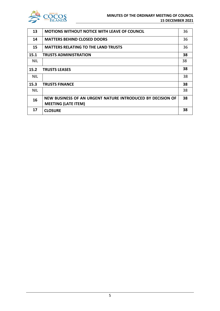

| 13         | <b>MOTIONS WITHOUT NOTICE WITH LEAVE OF COUNCIL</b>        | 36 |
|------------|------------------------------------------------------------|----|
| 14         | <b>MATTERS BEHIND CLOSED DOORS</b>                         | 36 |
| 15         | <b>MATTERS RELATING TO THE LAND TRUSTS</b>                 | 36 |
| 15.1       | <b>TRUSTS ADMINISTRATION</b>                               | 38 |
| NIL.       |                                                            | 38 |
| 15.2       | <b>TRUSTS LEASES</b>                                       | 38 |
| <b>NIL</b> |                                                            | 38 |
| 15.3       | <b>TRUSTS FINANCE</b>                                      | 38 |
| <b>NIL</b> |                                                            | 38 |
| 16         | NEW BUSINESS OF AN URGENT NATURE INTRODUCED BY DECISION OF | 38 |
|            | <b>MEETING (LATE ITEM)</b>                                 |    |
| 17         | <b>CLOSURE</b>                                             | 38 |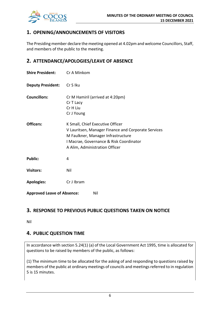

# **1. OPENING/ANNOUNCEMENTS OF VISITORS**

The Presiding member declare the meeting opened at 4.02pm and welcome Councillors, Staff, and members of the public to the meeting.

# **2. ATTENDANCE/APOLOGIES/LEAVE OF ABSENCE**

| <b>Shire President:</b>           | Cr A Minkom                                                                                                                                                                                                |  |
|-----------------------------------|------------------------------------------------------------------------------------------------------------------------------------------------------------------------------------------------------------|--|
| Deputy President: Cr S Iku        |                                                                                                                                                                                                            |  |
| <b>Councillors:</b>               | Cr M Hamiril (arrived at 4:20pm)<br>Cr T Lacy<br>Cr H Liu<br>Cr J Young                                                                                                                                    |  |
| Officers:                         | K Small, Chief Executive Officer<br>V Lauritsen, Manager Finance and Corporate Services<br>M Faulkner, Manager Infrastructure<br>I Macrae, Governance & Risk Coordinator<br>A Alim, Administration Officer |  |
| <b>Public:</b>                    | 4                                                                                                                                                                                                          |  |
| <b>Visitors:</b>                  | Nil                                                                                                                                                                                                        |  |
| <b>Apologies:</b>                 | Cr J Ibram                                                                                                                                                                                                 |  |
| <b>Approved Leave of Absence:</b> | Nil                                                                                                                                                                                                        |  |

# **3. RESPONSE TO PREVIOUS PUBLIC QUESTIONS TAKEN ON NOTICE**

Nil

# **4. PUBLIC QUESTION TIME**

In accordance with section 5.24(1) (a) of the Local Government Act 1995, time is allocated for questions to be raised by members of the public, as follows:

(1) The minimum time to be allocated for the asking of and responding to questions raised by members of the public at ordinary meetings of councils and meetings referred to in regulation 5 is 15 minutes.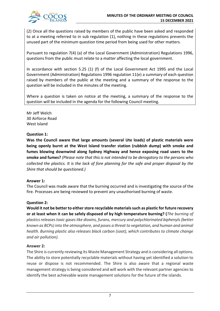

(2) Once all the questions raised by members of the public have been asked and responded to at a meeting referred to in sub regulation (1), nothing in these regulations prevents the unused part of the minimum question time period from being used for other matters.

Pursuant to regulation 7(4) (a) of the Local Government (Administration) Regulations 1996, questions from the public must relate to a matter affecting the local government.

In accordance with section 5.25 (1) (f) of the Local Government Act 1995 and the Local Government (Administration) Regulations 1996 regulation 11(e) a summary of each question raised by members of the public at the meeting and a summary of the response to the question will be included in the minutes of the meeting.

Where a question is taken on notice at the meeting, a summary of the response to the question will be included in the agenda for the following Council meeting.

Mr Jeff Welch 30 Airforce Road West Island

# **Question 1:**

**Was the Council aware that large amounts (several Ute loads) of plastic materials were being openly burnt at the West Island transfer station (rubbish dump) with smoke and fumes blowing downwind along Sydney Highway and hence exposing road users to the smoke and fumes?** *(Please note that this is not intended to be derogatory to the persons who collected the plastics. It is the lack of fore planning for the safe and proper disposal by the Shire that should be questioned.)*

# **Answer 1:**

The Council was made aware that the burning occurred and is investigating the source of the fire. Processes are being reviewed to prevent any unauthorised burning of waste.

# **Question 2:**

**Would it not be better to either store recyclable materials such as plastic for future recovery or at least when it can be safely disposed of by high temperature burning? (***The burning of plastics releasestoxic gases like dioxins, furans, mercury and polychlorinated biphenyls (better known as BCPs) into the atmosphere, and poses a threat to vegetation, and human and animal health. Burning plastic also releases black carbon (soot), which contributes to climate change and air pollution).*

# **Answer 2:**

The Shire is currently reviewing its Waste Management Strategy and is considering all options. The ability to store potentially recyclable materials without having yet identified a solution to reuse or dispose is not recommended. The Shire is also aware that a regional waste management strategy is being considered and will work with the relevant partner agencies to identify the best achievable waste management solutions for the future of the islands.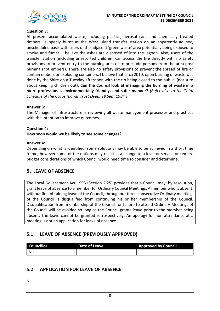

# **Question 3:**

At present accumulated waste, including plastics, aerosol cans and chemically treated timbers, is openly burnt at the West Island transfer station on an apparently ad hoc, unscheduled basis with users of the adjacent 'green waste' area potentially being exposed to smoke and fumes. I believe the ashes are disposed of into the lagoon. Also, users of the transfer station (including unescorted children) can access the fire directly with no safety provisions to prevent entry to the burning area or to preclude persons from the area post burning (hot embers). There are also no safety provisions to prevent the spread of fire or contain embers or exploding containers. I believe that circa 2010, open burning of waste was done by the Shire on a Tuesday afternoon with the tip being closed to the public. (not sure about keeping children out). **Can the Council look at managing the burning of waste in a more professional, environmentally friendly, and safer manner?** *(Refer also to the Third Schedule of the Cocos Islands Trust Deed, 18 Sept 1984.)*

## **Answer 3:**

The Manager of Infrastructure is reviewing all waste management processes and practices with the intention to improve outcomes.

## **Question 4:**

#### **How soon would we be likely to see some changes?**

#### **Answer 4:**

Depending on what is identified, some solutions may be able to be achieved in a short time frame, however some of the options may result in a change to a level or service or require budget considerations of which Council would need time to consider and determine.

# **5. LEAVE OF ABSENCE**

The Local Government Act 1995 (Section 2.25) provides that a Council may, by resolution, grant leave of absence to a member for Ordinary Council Meetings. A member who is absent, without first obtaining leave of the Council, throughout three consecutive Ordinary meetings of the Council is disqualified from continuing his or her membership of the Council. Disqualification from membership of the Council for failure to attend Ordinary Meetings of the Council will be avoided so long as the Council grants leave prior to the member being absent. The leave cannot be granted retrospectively. An apology for non-attendance at a meeting is not an application for leave of absence.

# **5.1 LEAVE OF ABSENCE (PREVIOUSLY APPROVED)**

| <b>Councillor</b> | Date of Leave | <b>Approved by Council</b> |
|-------------------|---------------|----------------------------|
| <b>NIL</b>        |               |                            |

# **5.2 APPLICATION FOR LEAVE OF ABSENCE**

Nil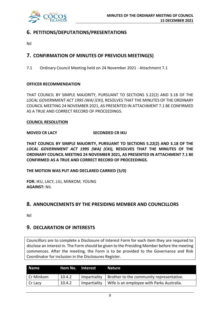

# **6. PETITIONS/DEPUTATIONS/PRESENTATIONS**

Nil

# **7. CONFIRMATION OF MINUTES OF PREVIOUS MEETING(S)**

7.1 Ordinary Council Meeting held on 24 November 2021 - Attachment 7.1

# **OFFICER RECOMMENDATION**

THAT COUNCIL BY SIMPLE MAJORITY, PURSUANT TO SECTIONS 5.22(2) AND 3.18 OF THE *LOCAL GOVERNMENT ACT 1995 (WA) (CKI),* RESOLVES THAT THE MINUTES OF THE ORDINARY COUNCIL MEETING 24 NOVEMBER 2021, AS PRESENTED IN ATTACHMENT 7.1 BE CONFIRMED AS A TRUE AND CORRECT RECORD OF PROCEEDINGS.

## **COUNCIL RESOLUTION**

## **MOVED CR LACY SECONDED CR IKU**

**THAT COUNCIL BY SIMPLE MAJORITY, PURSUANT TO SECTIONS 5.22(2) AND 3.18 OF THE**  *LOCAL GOVERNMENT ACT 1995 (WA) (CKI),* **RESOLVES THAT THE MINUTES OF THE ORDINARY COUNCIL MEETING 24 NOVEMBER 2021, AS PRESENTED IN ATTACHMENT 7.1 BE CONFIRMED AS A TRUE AND CORRECT RECORD OF PROCEEDINGS.**

**THE MOTION WAS PUT AND DECLARED CARRIED (5/0)**

**FOR:** IKU, LACY, LIU, MINKOM, YOUNG **AGAINST:** NIL

# **8. ANNOUNCEMENTS BY THE PRESIDING MEMBER AND COUNCILLORS**

Nil

# **9. DECLARATION OF INTERESTS**

Councillors are to complete a Disclosure of Interest Form for each item they are required to disclose an interest in. The Form should be given to the Presiding Member before the meeting commences. After the meeting, the Form is to be provided to the Governance and Risk Coordinator for inclusion in the Disclosures Register.

| <b>Name</b> | Item No. Interest |              | <b>Nature</b>                             |
|-------------|-------------------|--------------|-------------------------------------------|
| Cr Minkom   | 10.4.2            | Impartiality | Brother to the community representative.  |
| Cr Lacy     | 10.4.2            | Impartiality | Wife is an employee with Parks Australia. |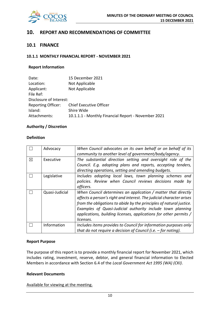

# **10. REPORT AND RECOMMENDATIONS OF COMMITTEE**

# **10.1 FINANCE**

#### **10.1.1 MONTHLY FINANCIAL REPORT - NOVEMBER 2021**

#### **Report Information**

| 15 December 2021                                    |
|-----------------------------------------------------|
| Not Applicable                                      |
| Not Applicable                                      |
|                                                     |
| Disclosure of Interest:                             |
| <b>Chief Executive Officer</b>                      |
| Shire Wide                                          |
| 10.1.1.1 - Monthly Financial Report - November 2021 |
|                                                     |

#### **Authority / Discretion**

#### **Definition**

|   | Advocacy       | When Council advocates on its own behalf or on behalf of its<br>community to another level of government/body/agency.                                                                                                                                                                                                                                        |
|---|----------------|--------------------------------------------------------------------------------------------------------------------------------------------------------------------------------------------------------------------------------------------------------------------------------------------------------------------------------------------------------------|
| ⊠ | Executive      | The substantial direction setting and oversight role of the<br>Council. E.g. adopting plans and reports, accepting tenders,<br>directing operations, setting and amending budgets.                                                                                                                                                                           |
|   | Legislative    | Includes adopting local laws, town planning schemes and<br>policies. Review when Council reviews decisions made by<br>officers.                                                                                                                                                                                                                              |
|   | Quasi-Judicial | When Council determines an application / matter that directly<br>affects a person's right and interest. The judicial character arises<br>from the obligations to abide by the principles of natural justice.<br>Examples of Quasi-Judicial authority include town planning<br>applications, building licenses, applications for other permits /<br>licenses. |
|   | Information    | Includes items provides to Council for information purposes only<br>that do not require a decision of Council (i.e. $-$ for noting).                                                                                                                                                                                                                         |

#### **Report Purpose**

The purpose of this report is to provide a monthly financial report for November 2021, which includes rating, investment, reserve, debtor, and general financial information to Elected Members in accordance with Section 6.4 of the *Local Government Act 1995 (WA) (CKI)*.

#### **Relevant Documents**

Available for viewing at the meeting.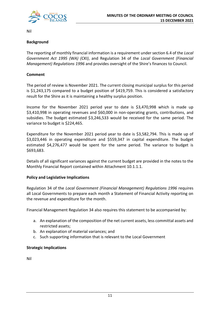

Nil

# **Background**

The reporting of monthly financial information is a requirement under section 6.4 of the *Local Government Act 1995 (WA) (CKI)*, and Regulation 34 of the *Local Government (Financial Management) Regulations 1996* and provides oversight of the Shire's finances to Council.

# **Comment**

The period of review is November 2021. The current closing municipal surplus for this period is \$1,243,175 compared to a budget position of \$419,759. This is considered a satisfactory result for the Shire as it is maintaining a healthy surplus position.

Income for the November 2021 period year to date is \$3,470,998 which is made up \$3,410,998 in operating revenues and \$60,000 in non-operating grants, contributions, and subsidies. The budget estimated \$3,246,533 would be received for the same period. The variance to budget is \$224,465.

Expenditure for the November 2021 period year to date is \$3,582,794. This is made up of \$3,023,446 in operating expenditure and \$559,347 in capital expenditure. The budget estimated \$4,276,477 would be spent for the same period. The variance to budget is \$693,683.

Details of all significant variances against the current budget are provided in the notes to the Monthly Financial Report contained within Attachment 10.1.1.1.

# **Policy and Legislative Implications**

Regulation 34 of the *Local Government (Financial Management) Regulations 1996* requires all Local Governments to prepare each month a Statement of Financial Activity reporting on the revenue and expenditure for the month.

Financial Management Regulation 34 also requires this statement to be accompanied by:

- a. An explanation of the composition of the net current assets, less committal assets and restricted assets;
- b. An explanation of material variances; and
- c. Such supporting information that is relevant to the Local Government

## **Strategic Implications**

Nil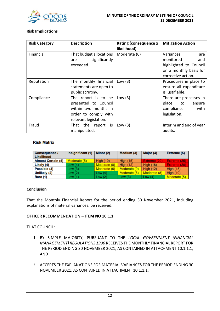

## **Risk Implications**

| <b>Risk Category</b> | <b>Description</b>                                                                                                   | <b>Rating (consequence x</b><br>likelihood) | <b>Mitigation Action</b>                                                                                       |
|----------------------|----------------------------------------------------------------------------------------------------------------------|---------------------------------------------|----------------------------------------------------------------------------------------------------------------|
| Financial            | That budget allocations<br>significantly<br>are<br>exceeded.                                                         | Moderate (6)                                | Variances<br>are<br>monitored<br>and<br>highlighted to Council<br>on a monthly basis for<br>corrective action. |
| Reputation           | The monthly financial<br>statements are open to<br>public scrutiny.                                                  | Low $(3)$                                   | Procedures in place to<br>ensure all expenditure<br>is justifiable.                                            |
| Compliance           | The report is to be<br>presented to Council<br>within two months in<br>order to comply with<br>relevant legislation. | Low $(3)$                                   | There are processes in<br>place<br>to<br>ensure<br>compliance<br>with<br>legislation.                          |
| Fraud                | That the report is<br>manipulated.                                                                                   | Low $(3)$                                   | Interim and end of year<br>audits.                                                                             |

#### **Risk Matrix**

| Consequence /<br><b>Likelihood</b> | Insignificant (1) | Minor (2)        | Medium (3)       | Major (4)        | Extreme (5)      |
|------------------------------------|-------------------|------------------|------------------|------------------|------------------|
| <b>Almost Certain (5)</b>          | Moderate (5)      | <b>High (10)</b> | <b>High (15)</b> | Extreme (20)     | Extreme (25)     |
| Likely (4)                         | Low(4)            | Moderate (8)     | <b>High (12)</b> | <b>High (16)</b> | Extreme (20)     |
| Possible (3)                       | Low(3)            | Moderate (6)     | Moderate (9)     | <b>High (12)</b> | <b>High (15)</b> |
| Unlikely (2)                       | Low(2)            | Low(4)           | Moderate (6)     | Moderate (8)     | <b>High (10)</b> |
| Rare (1)                           | Low(1)            | Low $(2)$        | Low(3)           | Low $(4)$        | Moderate (5)     |

#### **Conclusion**

That the Monthly Financial Report for the period ending 30 November 2021, including explanations of material variances, be received.

## **OFFICER RECOMMENDATION – ITEM NO 10.1.1**

THAT COUNCIL:

- 1. BY SIMPLE MAJORITY, PURSUANT TO THE *LOCAL GOVERNMENT (FINANCIAL MANAGEMENT) REGULATIONS 1996* RECEIVES THE MONTHLY FINANCIAL REPORT FOR THE PERIOD ENDING 30 NOVEMBER 2021, AS CONTAINED IN ATTACHMENT 10.1.1.1; AND
- 2. ACCEPTS THE EXPLANATIONS FOR MATERIAL VARIANCES FOR THE PERIOD ENDING 30 NOVEMBER 2021, AS CONTAINED IN ATTACHMENT 10.1.1.1.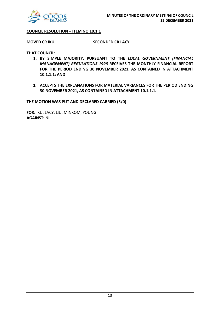

#### **COUNCIL RESOLUTION – ITEM NO 10.1.1**

**MOVED CR IKU SECONDED CR LACY**

**THAT COUNCIL:**

- **1. BY SIMPLE MAJORITY, PURSUANT TO THE** *LOCAL GOVERNMENT (FINANCIAL MANAGEMENT) REGULATIONS 1996* **RECEIVES THE MONTHLY FINANCIAL REPORT FOR THE PERIOD ENDING 30 NOVEMBER 2021, AS CONTAINED IN ATTACHMENT 10.1.1.1; AND**
- **2. ACCEPTS THE EXPLANATIONS FOR MATERIAL VARIANCES FOR THE PERIOD ENDING 30 NOVEMBER 2021, AS CONTAINED IN ATTACHMENT 10.1.1.1.**

**THE MOTION WAS PUT AND DECLARED CARRIED (5/0)**

**FOR:** IKU, LACY, LIU, MINKOM, YOUNG **AGAINST:** NIL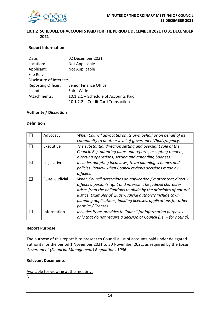

# **10.1.2 SCHEDULE OF ACCOUNTS PAID FOR THE PERIOD 1 DECEMBER 2021 TO 31 DECEMBER 2021**

# **Report Information**

| Date:                     | 02 December 2021                     |
|---------------------------|--------------------------------------|
| Location:                 | Not Applicable                       |
| Applicant:                | Not Applicable                       |
| File Ref:                 |                                      |
| Disclosure of Interest:   |                                      |
| <b>Reporting Officer:</b> | Senior Finance Officer               |
| Island:                   | Shire Wide                           |
| Attachments:              | 10.1.2.1 - Schedule of Accounts Paid |
|                           | 10.1.2.2 - Credit Card Transaction   |

#### **Authority / Discretion**

#### **Definition**

|   | Advocacy       | When Council advocates on its own behalf or on behalf of its        |
|---|----------------|---------------------------------------------------------------------|
|   |                | community to another level of government/body/agency.               |
|   | Executive      | The substantial direction setting and oversight role of the         |
|   |                | Council. E.g. adopting plans and reports, accepting tenders,        |
|   |                | directing operations, setting and amending budgets.                 |
| ⊠ | Legislative    | Includes adopting local laws, town planning schemes and             |
|   |                | policies. Review when Council reviews decisions made by             |
|   |                | officers.                                                           |
|   | Quasi-Judicial | When Council determines an application / matter that directly       |
|   |                | affects a person's right and interest. The judicial character       |
|   |                | arises from the obligations to abide by the principles of natural   |
|   |                | justice. Examples of Quasi-Judicial authority include town          |
|   |                | planning applications, building licenses, applications for other    |
|   |                | permits / licenses.                                                 |
|   | Information    | Includes items provides to Council for information purposes         |
|   |                | only that do not require a decision of Council (i.e. - for noting). |

#### **Report Purpose**

The purpose of this report is to present to Council a list of accounts paid under delegated authority for the period 1 November 2021 to 30 November 2021, as required by the *Local Government (Financial Management) Regulations 1996*.

# **Relevant Documents**

Available for viewing at the meeting.

Nil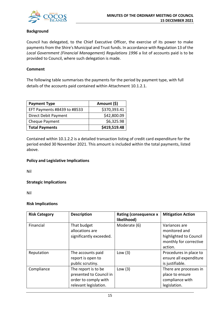

# **Background**

Council has delegated, to the Chief Executive Officer, the exercise of its power to make payments from the Shire's Municipal and Trust funds. In accordance with Regulation 13 of the *Local Government (Financial Management) Regulations 1996* a list of accounts paid is to be provided to Council, where such delegation is made.

## **Comment**

The following table summarises the payments for the period by payment type, with full details of the accounts paid contained within Attachment 10.1.2.1.

| <b>Payment Type</b>         | Amount (\$)  |
|-----------------------------|--------------|
| EFT Payments #8439 to #8533 | \$370,393.41 |
| <b>Direct Debit Payment</b> | \$42,800.09  |
| Cheque Payment              | \$6,325.98   |
| <b>Total Payments</b>       | \$419,519.48 |

Contained within 10.1.2.2 is a detailed transaction listing of credit card expenditure for the period ended 30 November 2021. This amount is included within the total payments, listed above.

## **Policy and Legislative Implications**

Nil

# **Strategic Implications**

Nil

## **Risk Implications**

| <b>Risk Category</b> | <b>Description</b>                                                                              | <b>Rating (consequence x</b><br>likelihood) | <b>Mitigation Action</b>                                                                      |
|----------------------|-------------------------------------------------------------------------------------------------|---------------------------------------------|-----------------------------------------------------------------------------------------------|
| Financial            | That budget<br>allocations are<br>significantly exceeded.                                       | Moderate (6)                                | Variances are<br>monitored and<br>highlighted to Council<br>monthly for corrective<br>action. |
| Reputation           | The accounts paid<br>report is open to<br>public scrutiny.                                      | Low $(3)$                                   | Procedures in place to<br>ensure all expenditure<br>is justifiable.                           |
| Compliance           | The report is to be<br>presented to Council in<br>order to comply with<br>relevant legislation. | Low $(3)$                                   | There are processes in<br>place to ensure<br>compliance with<br>legislation.                  |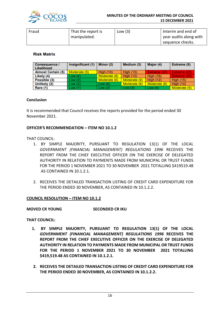

| Fraud | That the report is | Low $(3)$ | Interim and end of     |
|-------|--------------------|-----------|------------------------|
|       | manipulated.       |           | year audits along with |
|       |                    |           | sequence checks.       |

## **Risk Matrix**

| Consequence /<br>Likelihood | Insignificant (1) | Minor (2)    | Medium (3)       | Major (4)        | Extreme (5)      |
|-----------------------------|-------------------|--------------|------------------|------------------|------------------|
| <b>Almost Certain (5)</b>   | Moderate (5)      | High $(10)$  | <b>High (15)</b> | Extreme (20)     | Extreme (25)     |
| Likely (4)                  | Low(4)            | Moderate (8) | <b>High (12)</b> | <b>High (16)</b> | Extreme (20)     |
| Possible (3)                | Low(3)            | Moderate (6) | Moderate (9)     | High $(12)$      | <b>High (15)</b> |
| Unlikely (2)                | Low(2)            | Low $(4)$    | Moderate (6)     | Moderate (8)     | <b>High (10)</b> |
| <b>Rare (1)</b>             | Low(1)            | Low(2)       | Low(3)           | Low $(4)$        | Moderate (5)     |

#### **Conclusion**

It is recommended that Council receives the reports provided for the period ended 30 November 2021.

## **OFFICER'S RECOMMENDATION – ITEM NO 10.1.2**

## THAT COUNCIL:

- 1. BY SIMPLE MAJORITY, PURSUANT TO REGULATION 13(1) OF THE LOCAL *GOVERNMENT (FINANCIAL MANAGEMENT) REGULATIONS 1996* RECEIVES THE REPORT FROM THE CHIEF EXECUTIVE OFFICER ON THE EXERCISE OF DELEGATED AUTHORITY IN RELATION TO PAYMENTS MADE FROM MUNICIPAL OR TRUST FUNDS FOR THE PERIOD 1 NOVEMBER 2021 TO 30 NOVEMBER 2021 TOTALLING \$419519.48 AS CONTAINED IN 10.1.2.1.
- 2. RECEIVES THE DETAILED TRANSACTION LISTING OF CREDIT CARD EXPENDITURE FOR THE PERIOD ENDED 30 NOVEMBER, AS CONTAINED IN 10.1.2.2.

#### **COUNCIL RESOLUTION – ITEM NO 10.1.2**

#### **MOVED CR YOUNG SECONDED CR IKU**

## **THAT COUNCIL:**

- **1. BY SIMPLE MAJORITY, PURSUANT TO REGULATION 13(1) OF THE LOCAL**  *GOVERNMENT (FINANCIAL MANAGEMENT) REGULATIONS 1996* **RECEIVES THE REPORT FROM THE CHIEF EXECUTIVE OFFICER ON THE EXERCISE OF DELEGATED AUTHORITY IN RELATION TO PAYMENTS MADE FROM MUNICIPAL OR TRUST FUNDS FOR THE PERIOD 1 NOVEMBER 2021 TO 30 NOVEMBER 2021 TOTALLING \$419,519.48 AS CONTAINED IN 10.1.2.1.**
- **2. RECEIVES THE DETAILED TRANSACTION LISTING OF CREDIT CARD EXPENDITURE FOR THE PERIOD ENDED 30 NOVEMBER, AS CONTAINED IN 10.1.2.2.**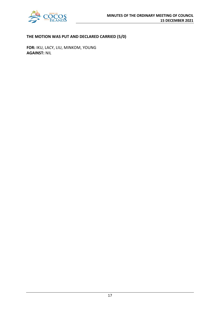

# **THE MOTION WAS PUT AND DECLARED CARRIED (5/0)**

**FOR:** IKU, LACY, LIU, MINKOM, YOUNG **AGAINST:** NIL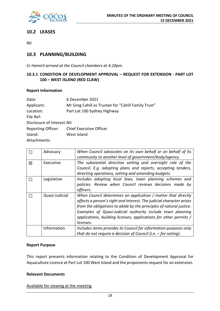

# **10.2 LEASES**

Nil

# **10.3 PLANNING/BUILDING**

*Cr Hamiril arrived at the Council chambers at 4.20pm.*

# **10.3.1 CONDITION OF DEVELOPMENT APPROVAL – REQUEST FOR EXTENSION - PART LOT 100 – WEST ISLAND (RED CLAW)**

## **Report Information**

| 6 December 2021                                     |
|-----------------------------------------------------|
| Mr Greg Cahill as Trustee for "Cahill Family Trust" |
| Part Lot 100 Sydney Highway                         |
|                                                     |
| Disclosure of Interest: Nil                         |
| <b>Chief Executive Officer</b>                      |
| West Island                                         |
|                                                     |
|                                                     |

|   | Advocacy       | When Council advocates on its own behalf or on behalf of its<br>community to another level of government/body/agency.                                                                                                                                                                                                                                        |
|---|----------------|--------------------------------------------------------------------------------------------------------------------------------------------------------------------------------------------------------------------------------------------------------------------------------------------------------------------------------------------------------------|
| 冈 | Executive      | The substantial direction setting and oversight role of the<br>Council. E.g. adopting plans and reports, accepting tenders,<br>directing operations, setting and amending budgets.                                                                                                                                                                           |
|   | Legislative    | Includes adopting local laws, town planning schemes and<br>policies. Review when Council reviews decisions made by<br>officers.                                                                                                                                                                                                                              |
|   | Quasi-Judicial | When Council determines an application / matter that directly<br>affects a person's right and interest. The judicial character arises<br>from the obligations to abide by the principles of natural justice.<br>Examples of Quasi-Judicial authority include town planning<br>applications, building licenses, applications for other permits /<br>licenses. |
|   | Information    | Includes items provides to Council for information purposes only<br>that do not require a decision of Council (i.e. $-$ for noting).                                                                                                                                                                                                                         |

## **Report Purpose**

This report presents information relating to the Condition of Development Approval for Aquaculture Licence at Part Lot 100 West Island and the proponents request for an extension.

## **Relevant Documents**

Available for viewing at the meeting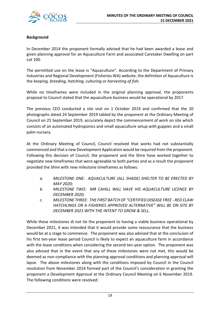

# **Background**

In December 2014 the proponent formally advised that he had been awarded a lease and given planning approval for an Aquaculture Farm and associated Caretaker Dwelling on part Lot 100.

The permitted use on the lease is "Aquaculture". According to the Department of Primary Industries and Regional Development (Fisheries WA) website, the definition of Aquaculture is the *keeping, breeding, hatching, culturing or harvesting of fish.*

While no timeframes were included in the original planning approval, the proponents proposal to Council stated that the aquaculture business would be operational by 2017.

The previous CEO conducted a site visit on 1 October 2019 and confirmed that the 20 photographs dated 24 September 2019 tabled by the proponent at the Ordinary Meeting of Council on 25 September 2019, accurately depict the commencement of work on site which consists of an automated hydroponics and small aquaculture setup with guppies and a small palm nursery.

At the Ordinary Meeting of Council, Council resolved that works had not substantially commenced and that a new Development Application would be required from the proponent. Following this decision of Council, the proponent and the Shire have worked together to negotiate new timeframes that were agreeable to both parties and as a result the proponent provided the Shire with new milestone timeframes as follows:

- *a. MILESTONE ONE: AQUACULTURE (ALL SHADE) SHELTER TO BE ERECTED BY MAY 2020;*
- *b. MILESTONE TWO: MR CAHILL WILL HAVE HIS AQUACULTURE LICENCE BY DECEMBER 2020;*
- *c. MILESTONE THREE: THE FIRST BATCH OF "CERTIFIED DISEASE FREE - RED CLAW HATCHLINGS OR A FISHERIES APPROVED ALTERNATIVE" WILL BE ON SITE BY DECEMBER 2021 WITH THE INTENT TO GROW & SELL.*

While these milestones di not tie the proponent to having a viable business operational by December 2021, it was intended that it would provide some reassurance that the business would be at a stage to commence. The proponent was also advised that at the conclusion of his first ten-year lease period Council is likely to expect an aquaculture farm in accordance with the lease conditions when considering the second ten-year option. The proponent was also advised that in the event that any of these milestones were not met, this would be deemed as non-compliance with the planning approval conditions and planning approval will lapse. The above milestones along with the conditions imposed by Council in the Council resolution from November 2014 formed part of the Council's consideration in granting the proponent a Development Approval at the Ordinary Council Meeting on 6 November 2019. The following conditions were resolved: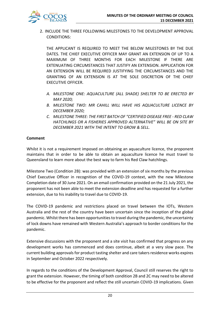

2. INCLUDE THE THREE FOLLOWING MILESTONES TO THE DEVELOPMENT APPROVAL CONDITIONS:

THE APPLICANT IS REQUIRED TO MEET THE BELOW MILESTONES BY THE DUE DATES. THE CHIEF EXECUTIVE OFFICER MAY GRANT AN EXTENSION OF UP TO A MAXIMUM OF THREE MONTHS FOR EACH MILESTONE IF THERE ARE EXTENUATING CIRCUMSTANCES THAT JUSTIFY AN EXTENSION. APPLICATION FOR AN EXTENSION WILL BE REQUIRED JUSTIFYING THE CIRCUMSTANCES AND THE GRANTING OF AN EXTENSION IS AT THE SOLE DISCRETION OF THE CHIEF EXECUTIVE OFFICER.

- *A. MILESTONE ONE: AQUACULTURE (ALL SHADE) SHELTER TO BE ERECTED BY MAY 2020;*
- *B. MILESTONE TWO: MR CAHILL WILL HAVE HIS AQUACULTURE LICENCE BY DECEMBER 2020;*
- *C. MILESTONE THREE: THE FIRST BATCH OF "CERTIFIED DISEASE FREE - RED CLAW HATCHLINGS OR A FISHERIES APPROVED ALTERNATIVE" WILL BE ON SITE BY DECEMBER 2021 WITH THE INTENT TO GROW & SELL.*

# **Comment**

Whilst it is not a requirement imposed on obtaining an aquaculture licence, the proponent maintains that in order to be able to obtain an aquaculture licence he must travel to Queensland to learn more about the best way to farm his Red Claw hatchlings.

Milestone Two (Condition 2B): was provided with an extension of six months by the previous Chief Executive Officer in recognition of the COVID-19 context, with the new Milestone Completion date of 30 June 2021. On an email confirmation provided on the 21 July 2021, the proponent has not been able to meet the extension deadline and has requested for a further extension, due to his inability to travel due to COVID-19.

The COVID-19 pandemic and restrictions placed on travel between the IOTs, Western Australia and the rest of the country have been uncertain since the inception of the global pandemic. Whilst there has been opportunities to travel during the pandemic, the uncertainty of lock downs have remained with Western Australia's approach to border conditions for the pandemic.

Extensive discussions with the proponent and a site visit has confirmed that progress on any development works has commenced and does continue, albeit at a very slow pace. The current building approvals for product tasting shelter and care takers residence works expires in September and October 2022 respectively.

In regards to the conditions of the Development Approval, Council still reserves the right to grant the extension. However, the timing of both condition 2B and 2C may need to be altered to be effective for the proponent and reflect the still uncertain COVID-19 implications. Given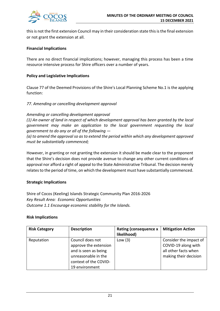

this is not the first extension Council may in their consideration state this is the final extension or not grant the extension at all.

# **Financial Implications**

There are no direct financial implications; however, managing this process has been a time resource intensive process for Shire officers over a number of years.

# **Policy and Legislative Implications**

Clause 77 of the Deemed Provisions of the Shire's Local Planning Scheme No.1 is the applying function:

*77. Amending or cancelling development approval*

*Amending or cancelling development approval*

*(1) An owner of land in respect of which development approval has been granted by the local government may make an application to the local government requesting the local government to do any or all of the following —*

*(a) to amend the approval so as to extend the period within which any development approved must be substantially commenced;*

However, in granting or not granting the extension it should be made clear to the proponent that the Shire's decision does not provide avenue to change any other current conditions of approval nor afford a right of appeal to the State Administrative Tribunal. The decision merely relates to the period of time, on which the development must have substantially commenced.

## **Strategic Implications**

Shire of Cocos (Keeling) Islands Strategic Community Plan 2016-2026 *Key Result Area: Economic Opportunities Outcome 1.1 Encourage economic stability for the Islands.*

## **Risk Implications**

| <b>Risk Category</b> | <b>Description</b>                                                                                                                  | Rating (consequence x<br>likelihood) | <b>Mitigation Action</b>                                                                       |
|----------------------|-------------------------------------------------------------------------------------------------------------------------------------|--------------------------------------|------------------------------------------------------------------------------------------------|
| Reputation           | Council does not<br>approve the extension<br>and is seen as being<br>unreasonable in the<br>context of the COVID-<br>19 environment | Low $(3)$                            | Consider the impact of<br>COVID-19 along with<br>all other facts when<br>making their decision |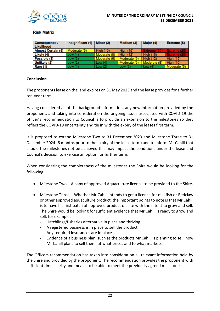

# **Risk Matrix**

| Consequence /<br><b>Likelihood</b> | Insignificant (1) | Minor (2)        | Medium (3)       | Major (4)        | Extreme (5)      |
|------------------------------------|-------------------|------------------|------------------|------------------|------------------|
| <b>Almost Certain (5)</b>          | Moderate (5)      | <b>High (10)</b> | <b>High (15)</b> | Extreme (20)     | Extreme (25)     |
| Likely (4)                         | Low(4)            | Moderate (8)     | <b>High (12)</b> | <b>High (16)</b> | Extreme (20)     |
| Possible (3)                       | Low(3)            | Moderate (6)     | Moderate (9)     | <b>High (12)</b> | <b>High (15)</b> |
| Unlikely (2)                       | Low(2)            | Low(4)           | Moderate (6)     | Moderate (8)     | <b>High (10)</b> |
| Rare (1)                           | Low(1)            | Low $(2)$        | Low(3)           | Low $(4)$        | Moderate (5)     |

# **Conclusion**

The proponents lease on the land expires on 31 May 2025 and the lease provides for a further ten-year term.

Having considered all of the background information, any new information provided by the proponent, and taking into consideration the ongoing issues associated with COVID-19 the officer's recommendation to Council is to provide an extension to the milestones so they reflect the COVID-19 uncertainty and tie in with the expiry of the leases first term.

It is proposed to extend Milestone Two to 31 December 2023 and Milestone Three to 31 December 2024 (6 months prior to the expiry of the lease term) and to inform Mr Cahill that should the milestones not be achieved this may impact the conditions under the lease and Council's decision to exercise an option for further term.

When considering the completeness of the milestones the Shire would be looking for the following:

- Milestone Two A copy of approved Aquaculture licence to be provided to the Shire.
- Milestone Three Whether Mr Cahill intends to get a licence for milkfish or Redclaw or other approved aquaculture product, the important points to note is that Mr Cahill is to have his first batch of approved product on site with the intent to grow and sell. The Shire would be looking for sufficient evidence that Mr Cahill is ready to grow and sell, for example:
	- **-** Hatchlings/fisheries alternative in place and thriving
	- **-** A registered business is in place to sell the product
	- **-** Any required insurances are in place
	- **-** Evidence of a business plan, such as the products Mr Cahill is planning to sell, how Mr Cahill plans to sell them, at what prices and to what markets.

The Officers recommendation has taken into consideration all relevant information held by the Shire and provided by the proponent. The recommendation provides the proponent with sufficient time, clarity and means to be able to meet the previously agreed milestones.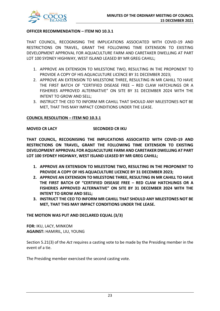

## **OFFICER RECOMMENDATION – ITEM NO 10.3.1**

THAT COUNCIL, RECOGNISING THE IMPLICATIONS ASSOCIATED WITH COVID-19 AND RESTRICTIONS ON TRAVEL, GRANT THE FOLLOWING TIME EXTENSION TO EXISTING DEVELOPMENT APPROVAL FOR AQUACULTURE FARM AND CARETAKER DWELLING AT PART LOT 100 SYDNEY HIGHWAY, WEST ISLAND LEASED BY MR GREG CAHILL;

- 1. APPROVE AN EXTENSION TO MILESTONE TWO, RESULTING IN THE PROPONENT TO PROVIDE A COPY OF HIS AQUACULTURE LICENCE BY 31 DECEMBER 2023;
- 2. APPROVE AN EXTENSION TO MILESTONE THREE, RESULTING IN MR CAHILL TO HAVE THE FIRST BATCH OF "CERTIFIED DISEASE FREE – RED CLAW HATCHLINGS OR A FISHERIES APPROVED ALTERNATIVE" ON SITE BY 31 DECEMBER 2024 WITH THE INTENT TO GROW AND SELL;
- 3. INSTRUCT THE CEO TO INFORM MR CAHILL THAT SHOULD ANY MILESTONES NOT BE MET, THAT THIS MAY IMPACT CONDITIONS UNDER THE LEASE.

#### **COUNCIL RESOLUTION – ITEM NO 10.3.1**

#### **MOVED CR LACY SECONDED CR IKU**

**THAT COUNCIL, RECOGNISING THE IMPLICATIONS ASSOCIATED WITH COVID-19 AND RESTRICTIONS ON TRAVEL, GRANT THE FOLLOWING TIME EXTENSION TO EXISTING DEVELOPMENT APPROVAL FOR AQUACULTURE FARM AND CARETAKER DWELLING AT PART LOT 100 SYDNEY HIGHWAY, WEST ISLAND LEASED BY MR GREG CAHILL;**

- **1. APPROVE AN EXTENSION TO MILESTONE TWO, RESULTING IN THE PROPONENT TO PROVIDE A COPY OF HIS AQUACULTURE LICENCE BY 31 DECEMBER 2023;**
- **2. APPROVE AN EXTENSION TO MILESTONE THREE, RESULTING IN MR CAHILL TO HAVE THE FIRST BATCH OF "CERTIFIED DISEASE FREE – RED CLAW HATCHLINGS OR A FISHERIES APPROVED ALTERNATIVE" ON SITE BY 31 DECEMBER 2024 WITH THE INTENT TO GROW AND SELL;**
- **3. INSTRUCT THE CEO TO INFORM MR CAHILL THAT SHOULD ANY MILESTONES NOT BE MET, THAT THIS MAY IMPACT CONDITIONS UNDER THE LEASE.**

#### **THE MOTION WAS PUT AND DECLARED EQUAL (3/3)**

**FOR:** IKU, LACY, MINKOM **AGAINST:** HAMIRIL, LIU, YOUNG

Section 5.21(3) of the *Act* requires a casting vote to be made by the Presiding member in the event of a tie.

The Presiding member exercised the second casting vote.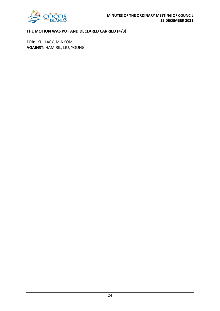

# **THE MOTION WAS PUT AND DECLARED CARRIED (4/3)**

**FOR:** IKU, LACY, MINKOM **AGAINST:** HAMIRIL, LIU, YOUNG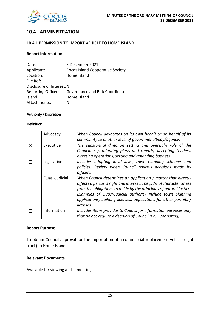

# **10.4 ADMINISTRATION**

# **10.4.1 PERMISSION TO IMPORT VEHICLE TO HOME ISLAND**

## **Report Information**

| Date:                       | 3 December 2021                        |
|-----------------------------|----------------------------------------|
| Applicant:                  | Cocos Island Cooperative Society       |
| Location:                   | Home Island                            |
| File Ref:                   |                                        |
| Disclosure of Interest: Nil |                                        |
| <b>Reporting Officer:</b>   | <b>Governance and Risk Coordinator</b> |
| Island:                     | Home Island                            |
| Attachments:                | Nil                                    |

#### **Authority / Discretion**

# **Definition**

|   | Advocacy       | When Council advocates on its own behalf or on behalf of its<br>community to another level of government/body/agency.                                                                                                                                                                                                                                        |
|---|----------------|--------------------------------------------------------------------------------------------------------------------------------------------------------------------------------------------------------------------------------------------------------------------------------------------------------------------------------------------------------------|
| 冈 | Executive      | The substantial direction setting and oversight role of the<br>Council. E.g. adopting plans and reports, accepting tenders,<br>directing operations, setting and amending budgets.                                                                                                                                                                           |
|   | Legislative    | Includes adopting local laws, town planning schemes and<br>policies. Review when Council reviews decisions made by<br>officers.                                                                                                                                                                                                                              |
|   | Quasi-Judicial | When Council determines an application / matter that directly<br>affects a person's right and interest. The judicial character arises<br>from the obligations to abide by the principles of natural justice.<br>Examples of Quasi-Judicial authority include town planning<br>applications, building licenses, applications for other permits /<br>licenses. |
|   | Information    | Includes items provides to Council for information purposes only<br>that do not require a decision of Council (i.e. $-$ for noting).                                                                                                                                                                                                                         |

#### **Report Purpose**

To obtain Council approval for the importation of a commercial replacement vehicle (light truck) to Home Island.

# **Relevant Documents**

Available for viewing at the meeting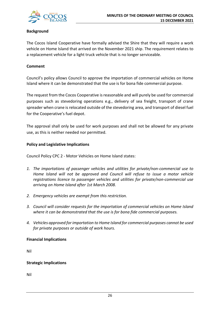

# **Background**

The Cocos Island Cooperative have formally advised the Shire that they will require a work vehicle on Home Island that arrived on the November 2021 ship. The requirement relates to a replacement vehicle for a light truck vehicle that is no longer serviceable.

#### **Comment**

Council's policy allows Council to approve the importation of commercial vehicles on Home Island where it can be demonstrated that the use is for bona fide commercial purpose.

The request from the Cocos Cooperative is reasonable and will purely be used for commercial purposes such as stevedoring operations e.g., delivery of sea freight, transport of crane spreader when crane is relocated outside of the stevedoring area, and transport of diesel fuel for the Cooperative's fuel depot.

The approval shall only be used for work purposes and shall not be allowed for any private use, as this is neither needed nor permitted.

## **Policy and Legislative Implications**

Council Policy CPC 2 - Motor Vehicles on Home Island states:

- *1. The importations of passenger vehicles and utilities for private/non-commercial use to Home Island will not be approved and Council will refuse to issue a motor vehicle registrations licence to passenger vehicles and utilities for private/non-commercial use arriving on Home Island after 1st March 2008.*
- *2. Emergency vehicles are exempt from this restriction.*
- *3. Council will consider requests for the importation of commercial vehicles on Home Island where it can be demonstrated that the use is for bona fide commercial purposes.*
- *4. Vehicles approved for importation to Home Island for commercial purposes cannot be used for private purposes or outside of work hours.*

## **Financial Implications**

Nil

## **Strategic Implications**

Nil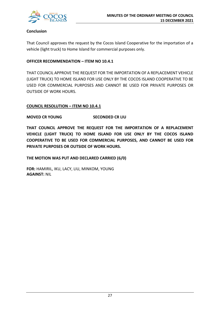

# **Conclusion**

That Council approves the request by the Cocos Island Cooperative for the importation of a vehicle (light truck) to Home Island for commercial purposes only.

# **OFFICER RECOMMENDATION – ITEM NO 10.4.1**

THAT COUNCIL APPROVE THE REQUEST FOR THE IMPORTATION OF A REPLACEMENT VEHICLE (LIGHT TRUCK) TO HOME ISLAND FOR USE ONLY BY THE COCOS ISLAND COOPERATIVE TO BE USED FOR COMMERCIAL PURPOSES AND CANNOT BE USED FOR PRIVATE PURPOSES OR OUTSIDE OF WORK HOURS.

# **COUNCIL RESOLUTION – ITEM NO 10.4.1**

# **MOVED CR YOUNG SECONDED CR LIU**

**THAT COUNCIL APPROVE THE REQUEST FOR THE IMPORTATION OF A REPLACEMENT VEHICLE (LIGHT TRUCK) TO HOME ISLAND FOR USE ONLY BY THE COCOS ISLAND COOPERATIVE TO BE USED FOR COMMERCIAL PURPOSES, AND CANNOT BE USED FOR PRIVATE PURPOSES OR OUTSIDE OF WORK HOURS.**

**THE MOTION WAS PUT AND DECLARED CARRIED (6/0)**

**FOR:** HAMIRIL, IKU, LACY, LIU, MINKOM, YOUNG **AGAINST:** NIL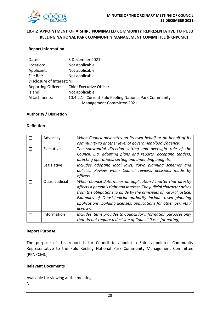

# **10.4.2 APPOINTMENT OF A SHIRE NOMINATED COMMUNITY REPRESENTATIVE TO PULU KEELING NATIONAL PARK COMMUNITY MANAGEMENT COMMITTEE (PKNPCMC)**

#### **Report Information**

| Date:                       | 3 December 2021                                         |
|-----------------------------|---------------------------------------------------------|
| Location:                   | Not applicable                                          |
| Applicant:                  | Not applicable                                          |
| File Ref:                   | Not applicable                                          |
| Disclosure of Interest: Nil |                                                         |
| <b>Reporting Officer:</b>   | <b>Chief Executive Officer</b>                          |
| Island:                     | Not applicable                                          |
| Attachments:                | 10.4.2.1 - Current Pulu Keeling National Park Community |
|                             | Management Committee 2021                               |

#### **Authority / Discretion**

#### **Definition**

|   | Advocacy       | When Council advocates on its own behalf or on behalf of its<br>community to another level of government/body/agency.                                                                                                                                                                                                                                        |
|---|----------------|--------------------------------------------------------------------------------------------------------------------------------------------------------------------------------------------------------------------------------------------------------------------------------------------------------------------------------------------------------------|
| 冈 | Executive      | The substantial direction setting and oversight role of the<br>Council. E.g. adopting plans and reports, accepting tenders,<br>directing operations, setting and amending budgets.                                                                                                                                                                           |
|   | Legislative    | Includes adopting local laws, town planning schemes and<br>policies. Review when Council reviews decisions made by<br>officers.                                                                                                                                                                                                                              |
|   | Quasi-Judicial | When Council determines an application / matter that directly<br>affects a person's right and interest. The judicial character arises<br>from the obligations to abide by the principles of natural justice.<br>Examples of Quasi-Judicial authority include town planning<br>applications, building licenses, applications for other permits /<br>licenses. |
|   | Information    | Includes items provides to Council for information purposes only<br>that do not require a decision of Council (i.e. $-$ for noting).                                                                                                                                                                                                                         |

#### **Report Purpose**

The purpose of this report is for Council to appoint a Shire appointed Community Representative to the Pulu Keeling National Park Community Management Committee (PKNPCMC).

#### **Relevant Documents**

Available for viewing at the meeting Nil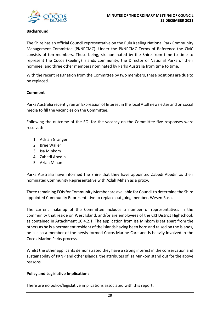

# **Background**

The Shire has an official Council representative on the Pulu Keeling National Park Community Management Committee (PKNPCMC). Under the PKNPCMC Terms of Reference the CMC consists of ten members. These being, six nominated by the Shire from time to time to represent the Cocos (Keeling) Islands community, the Director of National Parks or their nominee, and three other members nominated by Parks Australia from time to time.

With the recent resignation from the Committee by two members, these positions are due to be replaced.

# **Comment**

Parks Australia recently ran an Expression of Interest in the local Atoll newsletter and on social media to fill the vacancies on the Committee.

Following the outcome of the EOI for the vacancy on the Committee five responses were received:

- 1. Adrian Granger
- 2. Bree Waller
- 3. Isa Minkom
- 4. Zabedi Abedin
- 5. Azlah Mihan

Parks Australia have informed the Shire that they have appointed Zabedi Abedin as their nominated Community Representative with Azlah Mihan as a proxy.

Three remaining EOIs for Community Member are available for Council to determine the Shire appointed Community Representative to replace outgoing member, Wesen Rasa.

The current make-up of the Committee includes a number of representatives in the community that reside on West Island, and/or are employees of the CKI District Highschool, as contained in Attachment 10.4.2.1. The application from Isa Minkom is set apart from the others as he is a permanent resident of the islands having been born and raised on the islands, he is also a member of the newly formed Cocos Marine Care and is heavily involved in the Cocos Marine Parks process.

Whilst the other applicants demonstrated they have a strong interest in the conservation and sustainability of PKNP and other islands, the attributes of Isa Minkom stand out for the above reasons.

## **Policy and Legislative Implications**

There are no policy/legislative implications associated with this report.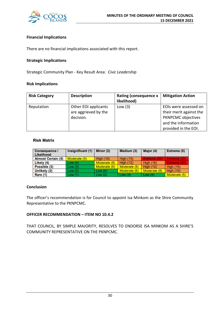

# **Financial Implications**

There are no financial implications associated with this report.

#### **Strategic Implications**

Strategic Community Plan - Key Result Area: *Civic Leadership*

#### **Risk Implications**

| <b>Risk Category</b> | <b>Description</b>   | <b>Rating (consequence x</b> | <b>Mitigation Action</b>  |
|----------------------|----------------------|------------------------------|---------------------------|
|                      |                      | likelihood)                  |                           |
| Reputation           | Other EOI applicants | Low $(3)$                    | EOIs were assessed on     |
|                      | are aggrieved by the |                              | their merit against the   |
|                      | decision.            |                              | <b>PKNPCMC</b> objectives |
|                      |                      |                              | and the information       |
|                      |                      |                              | provided in the EOI.      |

## **Risk Matrix**

| <b>Consequence /</b><br>Likelihood | Insignificant (1) | Minor (2)        | Medium (3)       | Major (4)        | Extreme (5)         |
|------------------------------------|-------------------|------------------|------------------|------------------|---------------------|
| <b>Almost Certain (5)</b>          | Moderate (5)      | <b>High (10)</b> | <b>High (15)</b> | Extreme (20)     | Extreme (25)        |
| Likely (4)                         | Low(4)            | Moderate (8)     | <b>High (12)</b> | <b>High (16)</b> | <b>Extreme (20)</b> |
| Possible (3)                       | Low(3)            | Moderate (6)     | Moderate (9)     | <b>High (12)</b> | <b>High (15)</b>    |
| Unlikely (2)                       | Low(2)            | Low $(4)$        | Moderate (6)     | Moderate (8)     | <b>High (10)</b>    |
| <b>Rare (1)</b>                    | Low(1)            | Low $(2)$        | Low $(3)$        | Low $(4)$        | Moderate (5)        |

## **Conclusion**

The officer's recommendation is for Council to appoint Isa Minkom as the Shire Community Representative to the PKNPCMC.

## **OFFICER RECOMMENDATION – ITEM NO 10.4.2**

THAT COUNCIL, BY SIMPLE MAJORITY, RESOLVES TO ENDORSE ISA MINKOM AS A SHIRE'S COMMUNITY REPRESENTATIVE ON THE PKNPCMC.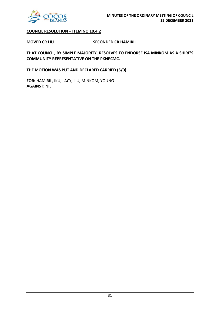

# **COUNCIL RESOLUTION – ITEM NO 10.4.2**

**MOVED CR LIU SECONDED CR HAMIRIL**

**THAT COUNCIL, BY SIMPLE MAJORITY, RESOLVES TO ENDORSE ISA MINKOM AS A SHIRE'S COMMUNITY REPRESENTATIVE ON THE PKNPCMC.**

**THE MOTION WAS PUT AND DECLARED CARRIED (6/0)**

**FOR:** HAMIRIL, IKU, LACY, LIU, MINKOM, YOUNG **AGAINST:** NIL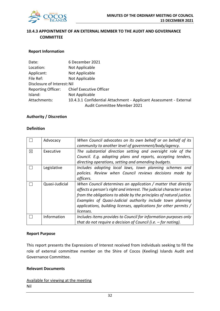

# **10.4.3 APPOINTMENT OF AN EXTERNAL MEMBER TO THE AUDIT AND GOVERNANCE COMMITTEE**

# **Report Information**

| Date:                                                                              | 6 December 2021                |  |
|------------------------------------------------------------------------------------|--------------------------------|--|
| Location:                                                                          | Not Applicable                 |  |
| Applicant:                                                                         | Not Applicable                 |  |
| File Ref:                                                                          | Not Applicable                 |  |
| Disclosure of Interest: Nil                                                        |                                |  |
| <b>Reporting Officer:</b>                                                          | <b>Chief Executive Officer</b> |  |
| Island:                                                                            | Not Applicable                 |  |
| Attachments:<br>10.4.3.1 Confidential Attachment - Applicant Assessment - External |                                |  |
|                                                                                    | Audit Committee Member 2021    |  |

## **Authority / Discretion**

## **Definition**

|             | Advocacy       | When Council advocates on its own behalf or on behalf of its         |
|-------------|----------------|----------------------------------------------------------------------|
|             |                | community to another level of government/body/agency.                |
| $\boxtimes$ | Executive      | The substantial direction setting and oversight role of the          |
|             |                | Council. E.g. adopting plans and reports, accepting tenders,         |
|             |                | directing operations, setting and amending budgets.                  |
|             | Legislative    | Includes adopting local laws, town planning schemes and              |
|             |                | policies. Review when Council reviews decisions made by              |
|             |                | officers.                                                            |
|             | Quasi-Judicial | When Council determines an application / matter that directly        |
|             |                | affects a person's right and interest. The judicial character arises |
|             |                | from the obligations to abide by the principles of natural justice.  |
|             |                | Examples of Quasi-Judicial authority include town planning           |
|             |                | applications, building licenses, applications for other permits /    |
|             |                | licenses.                                                            |
|             | Information    | Includes items provides to Council for information purposes only     |
|             |                | that do not require a decision of Council (i.e. $-$ for noting).     |

#### **Report Purpose**

This report presents the Expressions of Interest received from individuals seeking to fill the role of external committee member on the Shire of Cocos (Keeling) Islands Audit and Governance Committee.

#### **Relevant Documents**

Available for viewing at the meeting Nil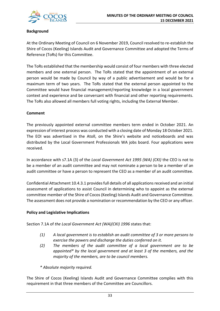

# **Background**

At the Ordinary Meeting of Council on 6 November 2019, Council resolved to re-establish the Shire of Cocos (Keeling) Islands Audit and Governance Committee and adopted the Terms of Reference (ToRs) for this Committee.

The ToRs established that the membership would consist of four members with three elected members and one external person. The ToRs stated that the appointment of an external person would be made by Council by way of a public advertisement and would be for a maximum term of two years. The ToRs stated that the external person appointed to the Committee would have financial management/reporting knowledge in a local government context and experience and be conversant with financial and other reporting requirements. The ToRs also allowed all members full voting rights, including the External Member.

# **Comment**

The previously appointed external committee members term ended in October 2021. An expression of interest process was conducted with a closing date of Monday 18 October 2021. The EOI was advertised in the Atoll, on the Shire's website and noticeboards and was distributed by the Local Government Professionals WA jobs board. Four applications were received.

In accordance with s7.1A (3) of the *Local Government Act 1995 (WA) (CKI)* the CEO is not to be a member of an audit committee and may not nominate a person to be a member of an audit committee or have a person to represent the CEO as a member of an audit committee.

Confidential Attachment 10.4.3.1 provides full details of all applications received and an initial assessment of applications to assist Council in determining who to appoint as the external committee member of the Shire of Cocos (Keeling) Islands Audit and Governance Committee. The assessment does not provide a nomination or recommendation by the CEO or any officer.

# **Policy and Legislative Implications**

Section 7.1A of *the Local Government Act (WA)(CKI) 1996* states that:

- *(1) A local government is to establish an audit committee of 3 or more persons to exercise the powers and discharge the duties conferred on it.*
- *(2) The members of the audit committee of a local government are to be appointed\* by the local government and at least 3 of the members, and the majority of the members, are to be council members.*

*\* Absolute majority required.*

The Shire of Cocos (Keeling) Islands Audit and Governance Committee complies with this requirement in that three members of the Committee are Councillors.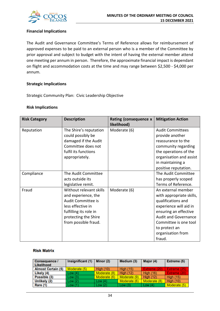

# **Financial Implications**

The Audit and Governance Committee's Terms of Reference allows for reimbursement of approved expenses to be paid to an external person who is a member of the Committee by prior approval and subject to budget with the intent of having the external member attend one meeting per annum in person. Therefore, the approximate financial impact is dependant on flight and accommodation costs at the time and may range between \$2,500 - \$4,000 per annum.

# **Strategic Implications**

Strategic Community Plan: Civic Leadership Objective

## **Risk Implications**

| <b>Risk Category</b> | <b>Description</b>                                                                                                                                                  | Rating (consequence x<br>likelihood) | <b>Mitigation Action</b>                                                                                                                                                                                                        |
|----------------------|---------------------------------------------------------------------------------------------------------------------------------------------------------------------|--------------------------------------|---------------------------------------------------------------------------------------------------------------------------------------------------------------------------------------------------------------------------------|
| Reputation           | The Shire's reputation<br>could possibly be<br>damaged if the Audit<br>Committee does not<br>fulfil its functions<br>appropriately.                                 | Moderate (6)                         | <b>Audit Committees</b><br>provide another<br>reassurance to the<br>community regarding<br>the operations of the<br>organisation and assist<br>in maintaining a<br>positive reputation.                                         |
| Compliance           | The Audit Committee<br>acts outside its<br>legislative remit.                                                                                                       |                                      | The Audit Committee<br>has properly scoped<br>Terms of Reference.                                                                                                                                                               |
| Fraud                | Without relevant skills<br>and experience, the<br>Audit Committee is<br>less effective in<br>fulfilling its role in<br>protecting the Shire<br>from possible fraud. | Moderate (6)                         | An external member<br>with appropriate skills,<br>qualifications and<br>experience will aid in<br>ensuring an effective<br><b>Audit and Governance</b><br>Committee is one tool<br>to protect an<br>organisation from<br>fraud. |

## **Risk Matrix**

| <b>Consequence /</b><br>Likelihood | Insignificant (1) | Minor (2)        | Medium (3)       | Major (4)        | Extreme (5)      |
|------------------------------------|-------------------|------------------|------------------|------------------|------------------|
| <b>Almost Certain (5)</b>          | Moderate (5)      | <b>High (10)</b> | <b>High (15)</b> | Extreme (20)     | Extreme (25)     |
| Likely (4)                         | Low(4)            | Moderate (8)     | High $(12)$      | <b>High (16)</b> | Extreme (20)     |
| Possible (3)                       | Low(3)            | Moderate (6)     | Moderate (9)     | High $(12)$      | <b>High (15)</b> |
| Unlikely (2)                       | Low(2)            | Low $(4)$        | Moderate (6)     | Moderate (8)     | <b>High (10)</b> |
| Rare (1)                           | Low(1)            | Low $(2)$        | Low(3)           | Low $(4)$        | Moderate (5)     |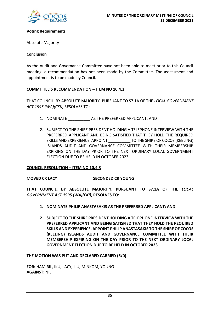

# **Voting Requirements**

Absolute Majority

# **Conclusion**

As the Audit and Governance Committee have not been able to meet prior to this Council meeting, a recommendation has not been made by the Committee. The assessment and appointment is to be made by Council.

# **COMMITTEE'S RECOMMENDATION – ITEM NO 10.4.3.**

THAT COUNCIL, BY ABSOLUTE MAJORITY, PURSUANT TO S7.1A OF THE *LOCAL GOVERNMENT ACT 1995 (WA)(CKI)*, RESOLVES TO:

- 1. NOMINATE AS THE PREFERRED APPLICANT; AND
- 2. SUBJECT TO THE SHIRE PRESIDENT HOLDING A TELEPHONE INTERVIEW WITH THE PREFERRED APPLICANT AND BEING SATISFIED THAT THEY HOLD THE REQUIRED SKILLS AND EXPERIENCE, APPOINT TO THE SHIRE OF COCOS (KEELING) ISLANDS AUDIT AND GOVERNANCE COMMITTEE WITH THEIR MEMBERSHIP EXPIRING ON THE DAY PRIOR TO THE NEXT ORDINARY LOCAL GOVERNMENT ELECTION DUE TO BE HELD IN OCTOBER 2023.

## **COUNCIL RESOLUTION – ITEM NO 10.4.3**

## **MOVED CR LACY SECONDED CR YOUNG**

**THAT COUNCIL, BY ABSOLUTE MAJORITY, PURSUANT TO S7.1A OF THE** *LOCAL GOVERNMENT ACT 1995 (WA)(CKI)***, RESOLVES TO:**

- **1. NOMINATE PHILIP ANASTASAKIS AS THE PREFERRED APPLICANT; AND**
- **2. SUBJECT TO THE SHIRE PRESIDENT HOLDING A TELEPHONE INTERVIEW WITH THE PREFERRED APPLICANT AND BEING SATISFIED THAT THEY HOLD THE REQUIRED SKILLS AND EXPERIENCE, APPOINT PHILIP ANASTASAKIS TO THE SHIRE OF COCOS (KEELING) ISLANDS AUDIT AND GOVERNANCE COMMITTEE WITH THEIR MEMBERSHIP EXPIRING ON THE DAY PRIOR TO THE NEXT ORDINARY LOCAL GOVERNMENT ELECTION DUE TO BE HELD IN OCTOBER 2023.**

## **THE MOTION WAS PUT AND DECLARED CARRIED (6/0)**

**FOR:** HAMIRIL, IKU, LACY, LIU, MINKOM, YOUNG **AGAINST:** NIL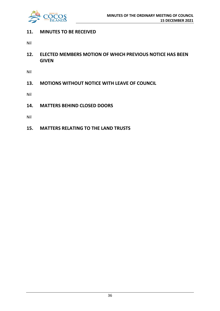

# **11. MINUTES TO BE RECEIVED**

Nil

**12. ELECTED MEMBERS MOTION OF WHICH PREVIOUS NOTICE HAS BEEN GIVEN**

Nil

**13. MOTIONS WITHOUT NOTICE WITH LEAVE OF COUNCIL**

Nil

**14. MATTERS BEHIND CLOSED DOORS**

Nil

**15. MATTERS RELATING TO THE LAND TRUSTS**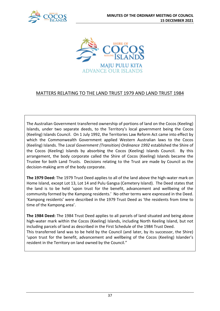



# MATTERS RELATING TO THE LAND TRUST 1979 AND LAND TRUST 1984

The Australian Government transferred ownership of portions of land on the Cocos (Keeling) Islands, under two separate deeds, to the Territory's local government being the Cocos (Keeling) Islands Council. On 1 July 1992, the Territories Law Reform Act came into effect by which the Commonwealth Government applied Western Australian laws to the Cocos (Keeling) Islands. The *Local Government (Transition) Ordinance 1992* established the Shire of the Cocos (Keeling) Islands by absorbing the Cocos (Keeling) Islands Council. By this arrangement, the body corporate called the Shire of Cocos (Keeling) Islands became the Trustee for both Land Trusts. Decisions relating to the Trust are made by Council as the decision-making arm of the body corporate.

**The 1979 Deed:** The 1979 Trust Deed applies to all of the land above the high-water mark on Home Island, except Lot 13, Lot 14 and Pulu Gangsa (Cemetery Island). The Deed states that the land is to be held 'upon trust for the benefit, advancement and wellbeing of the community formed by the Kampong residents.' No other terms were expressed in the Deed. 'Kampong residents' were described in the 1979 Trust Deed as 'the residents from time to time of the Kampong area'.

**The 1984 Deed:** The 1984 Trust Deed applies to all parcels of land situated and being above high-water mark within the Cocos (Keeling) Islands, including North Keeling Island, but not including parcels of land as described in the First Schedule of the 1984 Trust Deed. This transferred land was to be held by the Council (and later, by its successor, the Shire) 'upon trust for the benefit, advancement and wellbeing of the Cocos (Keeling) Islander's resident in the Territory on land owned by the Council."